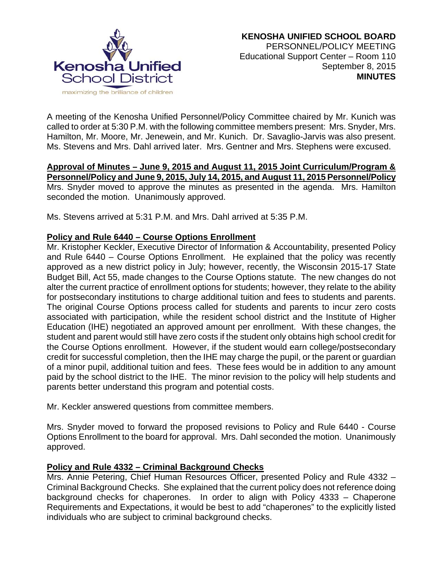

A meeting of the Kenosha Unified Personnel/Policy Committee chaired by Mr. Kunich was called to order at 5:30 P.M. with the following committee members present: Mrs. Snyder, Mrs. Hamilton, Mr. Moore, Mr. Jenewein, and Mr. Kunich. Dr. Savaglio-Jarvis was also present. Ms. Stevens and Mrs. Dahl arrived later. Mrs. Gentner and Mrs. Stephens were excused.

### **Approval of Minutes – June 9, 2015 and August 11, 2015 Joint Curriculum/Program & Personnel/Policy and June 9, 2015, July 14, 2015, and August 11, 2015 Personnel/Policy**  Mrs. Snyder moved to approve the minutes as presented in the agenda. Mrs. Hamilton seconded the motion. Unanimously approved.

Ms. Stevens arrived at 5:31 P.M. and Mrs. Dahl arrived at 5:35 P.M.

## **Policy and Rule 6440 – Course Options Enrollment**

Mr. Kristopher Keckler, Executive Director of Information & Accountability, presented Policy and Rule 6440 – Course Options Enrollment. He explained that the policy was recently approved as a new district policy in July; however, recently, the Wisconsin 2015-17 State Budget Bill, Act 55, made changes to the Course Options statute. The new changes do not alter the current practice of enrollment options for students; however, they relate to the ability for postsecondary institutions to charge additional tuition and fees to students and parents. The original Course Options process called for students and parents to incur zero costs associated with participation, while the resident school district and the Institute of Higher Education (IHE) negotiated an approved amount per enrollment. With these changes, the student and parent would still have zero costs if the student only obtains high school credit for the Course Options enrollment. However, if the student would earn college/postsecondary credit for successful completion, then the IHE may charge the pupil, or the parent or guardian of a minor pupil, additional tuition and fees. These fees would be in addition to any amount paid by the school district to the IHE. The minor revision to the policy will help students and parents better understand this program and potential costs.

Mr. Keckler answered questions from committee members.

Mrs. Snyder moved to forward the proposed revisions to Policy and Rule 6440 - Course Options Enrollment to the board for approval. Mrs. Dahl seconded the motion. Unanimously approved.

# **Policy and Rule 4332 – Criminal Background Checks**

Mrs. Annie Petering, Chief Human Resources Officer, presented Policy and Rule 4332 – Criminal Background Checks. She explained that the current policy does not reference doing background checks for chaperones. In order to align with Policy 4333 – Chaperone Requirements and Expectations, it would be best to add "chaperones" to the explicitly listed individuals who are subject to criminal background checks.